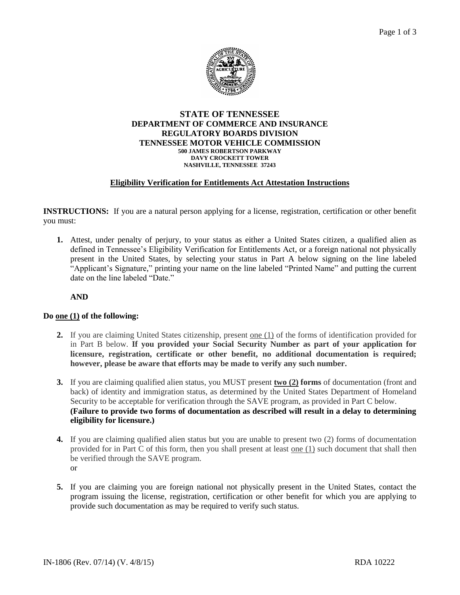

#### **STATE OF TENNESSEE DEPARTMENT OF COMMERCE AND INSURANCE REGULATORY BOARDS DIVISION TENNESSEE MOTOR VEHICLE COMMISSION 500 JAMES ROBERTSON PARKWAY DAVY CROCKETT TOWER NASHVILLE, TENNESSEE 37243**

### **Eligibility Verification for Entitlements Act Attestation Instructions**

**INSTRUCTIONS:** If you are a natural person applying for a license, registration, certification or other benefit you must:

**1.** Attest, under penalty of perjury, to your status as either a United States citizen, a qualified alien as defined in Tennessee's Eligibility Verification for Entitlements Act, or a foreign national not physically present in the United States, by selecting your status in Part A below signing on the line labeled "Applicant's Signature," printing your name on the line labeled "Printed Name" and putting the current date on the line labeled "Date."

**AND**

### **Do one (1) of the following:**

- **2.** If you are claiming United States citizenship, present one (1) of the forms of identification provided for in Part B below. **If you provided your Social Security Number as part of your application for licensure, registration, certificate or other benefit, no additional documentation is required; however, please be aware that efforts may be made to verify any such number.**
- **3.** If you are claiming qualified alien status, you MUST present **two (2) forms** of documentation (front and back) of identity and immigration status, as determined by the United States Department of Homeland Security to be acceptable for verification through the SAVE program, as provided in Part C below. **(Failure to provide two forms of documentation as described will result in a delay to determining eligibility for licensure.)**
- **4.** If you are claiming qualified alien status but you are unable to present two (2) forms of documentation provided for in Part C of this form, then you shall present at least one (1) such document that shall then be verified through the SAVE program. or
- **5.** If you are claiming you are foreign national not physically present in the United States, contact the program issuing the license, registration, certification or other benefit for which you are applying to provide such documentation as may be required to verify such status.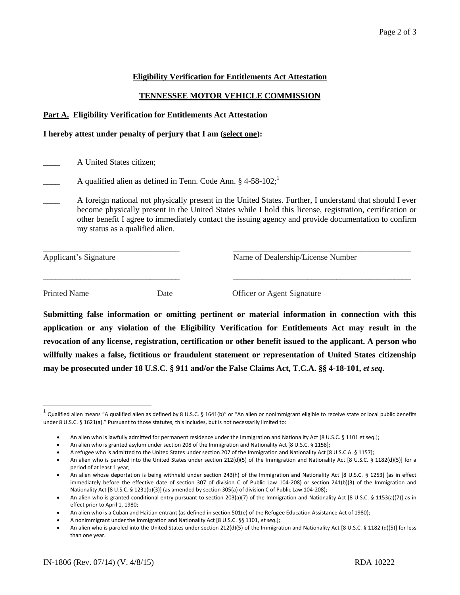### **Eligibility Verification for Entitlements Act Attestation**

### **TENNESSEE MOTOR VEHICLE COMMISSION**

#### **Part A. Eligibility Verification for Entitlements Act Attestation**

#### **I hereby attest under penalty of perjury that I am (select one):**

- \_\_\_\_ A United States citizen;
- A qualified alien as defined in Tenn. Code Ann.  $§$  4-58-102;<sup>1</sup>
- \_\_\_\_ A foreign national not physically present in the United States. Further, I understand that should I ever become physically present in the United States while I hold this license, registration, certification or other benefit I agree to immediately contact the issuing agency and provide documentation to confirm my status as a qualified alien.

| Applicant's Signature |      | Name of Dealership/License Number |  |
|-----------------------|------|-----------------------------------|--|
| <b>Printed Name</b>   | Date | Officer or Agent Signature        |  |

**Submitting false information or omitting pertinent or material information in connection with this application or any violation of the Eligibility Verification for Entitlements Act may result in the revocation of any license, registration, certification or other benefit issued to the applicant. A person who willfully makes a false, fictitious or fraudulent statement or representation of United States citizenship may be prosecuted under 18 U.S.C. § 911 and/or the False Claims Act, T.C.A. §§ 4-18-101,** *et seq***.**

 $\ddot{\phantom{a}}$ 

 $^1$  Qualified alien means "A qualified alien as defined by 8 U.S.C. § 1641(b)" or "An alien or nonimmigrant eligible to receive state or local public benefits under 8 U.S.C. § 1621(a)." Pursuant to those statutes, this includes, but is not necessarily limited to:

An alien who is lawfully admitted for permanent residence under the Immigration and Nationality Act [8 U.S.C. § 1101 et seq.];

An alien who is granted asylum under section 208 of the Immigration and Nationality Act [8 U.S.C. § 1158];

A refugee who is admitted to the United States under section 207 of the Immigration and Nationality Act [8 U.S.C.A. § 1157];

An alien who is paroled into the United States under section 212(d)(5) of the Immigration and Nationality Act [8 U.S.C. § 1182(d)(5)] for a period of at least 1 year;

An alien whose deportation is being withheld under section 243(h) of the Immigration and Nationality Act [8 U.S.C. § 1253] (as in effect immediately before the effective date of section 307 of division C of Public Law 104-208) or section 241(b)(3) of the Immigration and Nationality Act [8 U.S.C. § 1231(b)(3)] (as amended by section 305(a) of division C of Public Law 104-208);

An alien who is granted conditional entry pursuant to section 203(a)(7) of the Immigration and Nationality Act [8 U.S.C. § 1153(a)(7)] as in effect prior to April 1, 1980;

An alien who is a Cuban and Haitian entrant (as defined in section 501(e) of the Refugee Education Assistance Act of 1980);

A nonimmigrant under the Immigration and Nationality Act [8 U.S.C. §§ 1101, *et seq*.];

An alien who is paroled into the United States under section 212(d)(5) of the Immigration and Nationality Act [8 U.S.C. § 1182 (d)(5)] for less than one year.